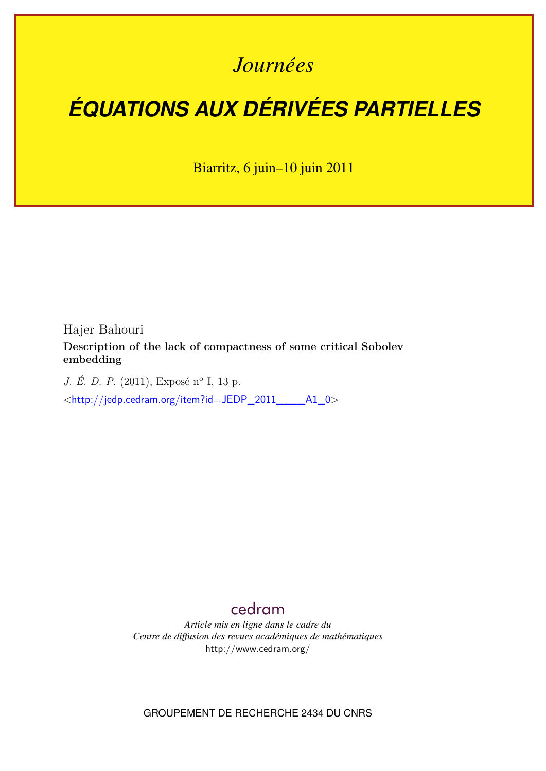# *Journées*

# *ÉQUATIONS AUX DÉRIVÉES PARTIELLES*

Biarritz, 6 juin–10 juin 2011

Hajer Bahouri

**Description of the lack of compactness of some critical Sobolev embedding**

*J. É. D. P.* (2011), Exposé n<sup>o</sup> I, 13 p.

<[http://jedp.cedram.org/item?id=JEDP\\_2011\\_\\_\\_\\_A1\\_0](http://jedp.cedram.org/item?id=JEDP_2011____A1_0)>

# [cedram](http://www.cedram.org/)

*Article mis en ligne dans le cadre du Centre de diffusion des revues académiques de mathématiques* <http://www.cedram.org/>

GROUPEMENT DE RECHERCHE 2434 DU CNRS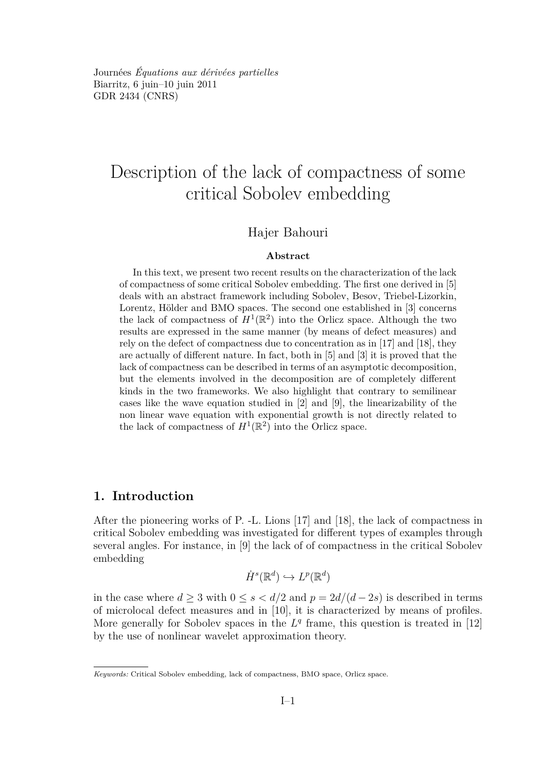<span id="page-1-0"></span>Journées *Équations aux dérivées partielles* Biarritz, 6 juin–10 juin 2011 GDR 2434 [\(CNRS\)](http://www.cnrs.fr)

# Description of the lack of compactness of some critical Sobolev embedding

## Hajer Bahouri

#### **Abstract**

In this text, we present two recent results on the characterization of the lack of compactness of some critical Sobolev embedding. The first one derived in [\[5\]](#page-11-0) deals with an abstract framework including Sobolev, Besov, Triebel-Lizorkin, Lorentz, Hölder and BMO spaces. The second one established in [\[3\]](#page-11-0) concerns the lack of compactness of  $H^1(\mathbb{R}^2)$  into the Orlicz space. Although the two results are expressed in the same manner (by means of defect measures) and rely on the defect of compactness due to concentration as in [\[17\]](#page-12-0) and [\[18\]](#page-12-0), they are actually of different nature. In fact, both in [\[5\]](#page-11-0) and [\[3\]](#page-11-0) it is proved that the lack of compactness can be described in terms of an asymptotic decomposition, but the elements involved in the decomposition are of completely different kinds in the two frameworks. We also highlight that contrary to semilinear cases like the wave equation studied in [\[2\]](#page-11-0) and [\[9\]](#page-12-0), the linearizability of the non linear wave equation with exponential growth is not directly related to the lack of compactness of  $H^1(\mathbb{R}^2)$  into the Orlicz space.

# **1. Introduction**

After the pioneering works of P. -L. Lions [\[17\]](#page-12-0) and [\[18\]](#page-12-0), the lack of compactness in critical Sobolev embedding was investigated for different types of examples through several angles. For instance, in [\[9\]](#page-12-0) the lack of of compactness in the critical Sobolev embedding

$$
\dot{H}^s(\mathbb{R}^d) \hookrightarrow L^p(\mathbb{R}^d)
$$

in the case where  $d \geq 3$  with  $0 \leq s < d/2$  and  $p = 2d/(d-2s)$  is described in terms of microlocal defect measures and in [\[10\]](#page-12-0), it is characterized by means of profiles. More generally for Sobolev spaces in the  $L<sup>q</sup>$  frame, this question is treated in [\[12\]](#page-12-0) by the use of nonlinear wavelet approximation theory.

*Keywords:* Critical Sobolev embedding, lack of compactness, BMO space, Orlicz space.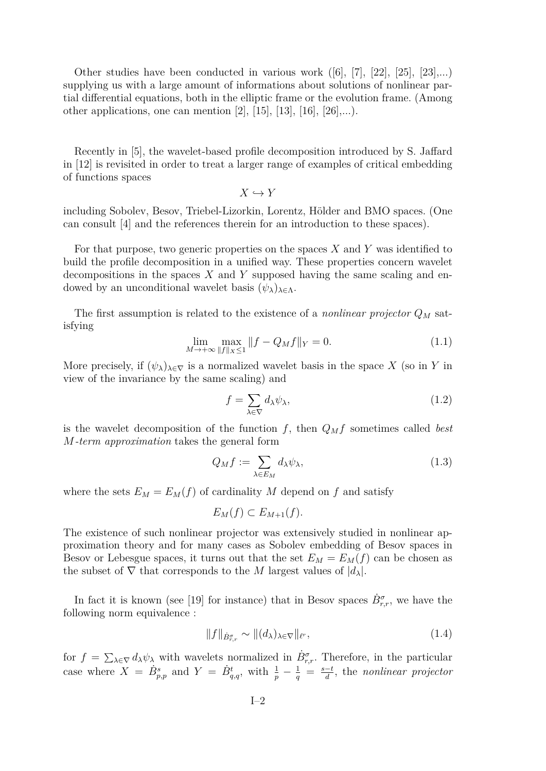<span id="page-2-0"></span>Other studies have been conducted in various work  $([6], [7], [22], [25], [23], \ldots)$  $([6], [7], [22], [25], [23], \ldots)$  $([6], [7], [22], [25], [23], \ldots)$  $([6], [7], [22], [25], [23], \ldots)$  $([6], [7], [22], [25], [23], \ldots)$  $([6], [7], [22], [25], [23], \ldots)$  $([6], [7], [22], [25], [23], \ldots)$  $([6], [7], [22], [25], [23], \ldots)$  $([6], [7], [22], [25], [23], \ldots)$  $([6], [7], [22], [25], [23], \ldots)$  $([6], [7], [22], [25], [23], \ldots)$ supplying us with a large amount of informations about solutions of nonlinear partial differential equations, both in the elliptic frame or the evolution frame. (Among other applications, one can mention [\[2\]](#page-11-0), [\[15\]](#page-12-0), [\[13\]](#page-12-0), [\[16\]](#page-12-0), [\[26\]](#page-13-0),...).

Recently in [\[5\]](#page-11-0), the wavelet-based profile decomposition introduced by S. Jaffard in [\[12\]](#page-12-0) is revisited in order to treat a larger range of examples of critical embedding of functions spaces

 $X \hookrightarrow Y$ 

including Sobolev, Besov, Triebel-Lizorkin, Lorentz, Hölder and BMO spaces. (One can consult [\[4\]](#page-11-0) and the references therein for an introduction to these spaces).

For that purpose, two generic properties on the spaces *X* and *Y* was identified to build the profile decomposition in a unified way. These properties concern wavelet decompositions in the spaces *X* and *Y* supposed having the same scaling and endowed by an unconditional wavelet basis  $(\psi_{\lambda})_{\lambda \in \Lambda}$ .

The first assumption is related to the existence of a *nonlinear projector*  $Q_M$  satisfying

$$
\lim_{M \to +\infty} \max_{\|f\|_{X} \le 1} \|f - Q_M f\|_{Y} = 0.
$$
\n(1.1)

More precisely, if  $(\psi_{\lambda})_{\lambda \in \nabla}$  is a normalized wavelet basis in the space *X* (so in *Y* in view of the invariance by the same scaling) and

$$
f = \sum_{\lambda \in \nabla} d_{\lambda} \psi_{\lambda},\tag{1.2}
$$

is the wavelet decomposition of the function  $f$ , then  $Q_M f$  sometimes called *best M-term approximation* takes the general form

$$
Q_M f := \sum_{\lambda \in E_M} d_{\lambda} \psi_{\lambda},\tag{1.3}
$$

where the sets  $E_M = E_M(f)$  of cardinality M depend on f and satisfy

$$
E_M(f) \subset E_{M+1}(f).
$$

The existence of such nonlinear projector was extensively studied in nonlinear approximation theory and for many cases as Sobolev embedding of Besov spaces in Besov or Lebesgue spaces, it turns out that the set  $E_M = E_M(f)$  can be chosen as the subset of  $\nabla$  that corresponds to the *M* largest values of  $|d_{\lambda}|$ .

In fact it is known (see [\[19\]](#page-12-0) for instance) that in Besov spaces  $\dot{B}^{\sigma}_{r,r}$ , we have the following norm equivalence :

$$
||f||_{\dot{B}^{\sigma}_{r,r}} \sim ||(d_{\lambda})_{\lambda \in \nabla}||_{\ell^{r}},\tag{1.4}
$$

for  $f = \sum_{\lambda \in \nabla} d_{\lambda} \psi_{\lambda}$  with wavelets normalized in  $\dot{B}^{\sigma}_{r,r}$ . Therefore, in the particular case where  $X = \dot{B}_{p,p}^s$  and  $Y = \dot{B}_{q,q}^t$ , with  $\frac{1}{p} - \frac{1}{q} = \frac{s-t}{d}$ *d* , the *nonlinear projector*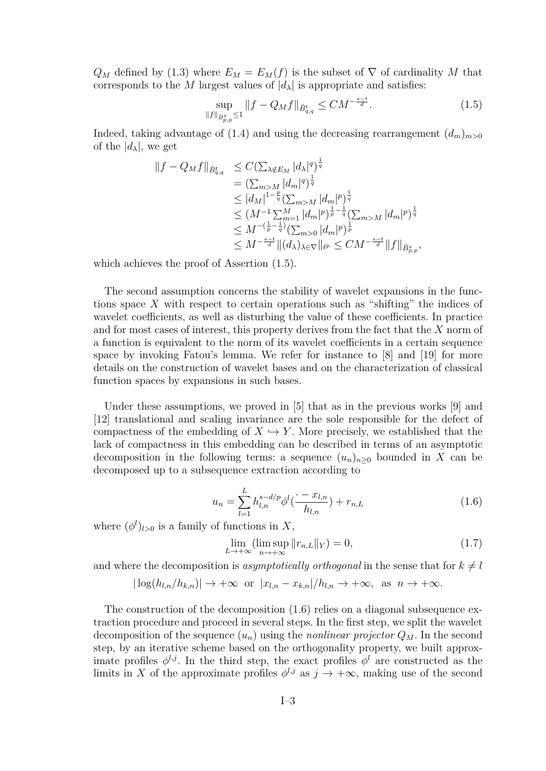<span id="page-3-0"></span> $Q_M$  defined by [\(1.3\)](#page-2-0) where  $E_M = E_M(f)$  is the subset of  $\nabla$  of cardinality M that corresponds to the *M* largest values of  $|d_{\lambda}|$  is appropriate and satisfies:

$$
\sup_{\|f\|_{\dot{B}^s_{p,p}} \le 1} \|f - Q_M f\|_{\dot{B}^t_{q,q}} \le CM^{-\frac{s-t}{d}}.
$$
\n(1.5)

Indeed, taking advantage of [\(1.4\)](#page-2-0) and using the decreasing rearrangement  $(d_m)_{m>0}$ of the  $|d_{\lambda}|$ , we get

$$
\begin{split} ||f - Q_M f||_{\dot{B}^t_{q,q}} &\leq C \big( \sum_{\lambda \notin E_M} |d_{\lambda}|^q \big)^{\frac{1}{q}} \\ &= \big( \sum_{m>M} |d_m|^q \big)^{\frac{1}{q}} \\ &\leq |d_M|^{1 - \frac{p}{q}} \big( \sum_{m>M} |d_m|^p \big)^{\frac{1}{q}} \\ &\leq (M^{-1} \sum_{m=1}^M |d_m|^p \big)^{\frac{1}{p} - \frac{1}{q}} \big( \sum_{m>M} |d_m|^p \big)^{\frac{1}{q}} \\ &\leq M^{-\left(\frac{1}{p} - \frac{1}{q}\right)} \big( \sum_{m>0} |d_m|^p \big)^{\frac{1}{p}} \\ &\leq M^{-\frac{s-t}{d}} \Vert (d_{\lambda})_{\lambda \in \nabla} \Vert_{\ell^p} \leq CM^{-\frac{s-t}{d}} \Vert f \Vert_{\dot{B}^s_{p,p}}, \end{split}
$$

which achieves the proof of Assertion (1.5).

The second assumption concerns the stability of wavelet expansions in the functions space *X* with respect to certain operations such as "shifting" the indices of wavelet coefficients, as well as disturbing the value of these coefficients. In practice and for most cases of interest, this property derives from the fact that the *X* norm of a function is equivalent to the norm of its wavelet coefficients in a certain sequence space by invoking Fatou's lemma. We refer for instance to [\[8\]](#page-12-0) and [\[19\]](#page-12-0) for more details on the construction of wavelet bases and on the characterization of classical function spaces by expansions in such bases.

Under these assumptions, we proved in [\[5\]](#page-11-0) that as in the previous works [\[9\]](#page-12-0) and [\[12\]](#page-12-0) translational and scaling invariance are the sole responsible for the defect of compactness of the embedding of  $X \hookrightarrow Y$ . More precisely, we established that the lack of compactness in this embedding can be described in terms of an asymptotic decomposition in the following terms: a sequence  $(u_n)_{n\geq 0}$  bounded in X can be decomposed up to a subsequence extraction according to

$$
u_n = \sum_{l=1}^{L} h_{l,n}^{s-d/p} \phi^l(\frac{\cdot - x_{l,n}}{h_{l,n}}) + r_{n,L}
$$
\n(1.6)

where  $(\phi^l)_{l>0}$  is a family of functions in X,

$$
\lim_{L \to +\infty} (\limsup_{n \to +\infty} ||r_{n,L}||_Y) = 0,\tag{1.7}
$$

and where the decomposition is *asymptotically orthogonal* in the sense that for  $k \neq l$ 

$$
|\log(h_{l,n}/h_{k,n})| \to +\infty
$$
 or  $|x_{l,n} - x_{k,n}|/h_{l,n} \to +\infty$ , as  $n \to +\infty$ .

The construction of the decomposition (1.6) relies on a diagonal subsequence extraction procedure and proceed in several steps. In the first step, we split the wavelet decomposition of the sequence  $(u_n)$  using the *nonlinear projector*  $Q_M$ . In the second step, by an iterative scheme based on the orthogonality property, we built approximate profiles  $\phi^{l,j}$ . In the third step, the exact profiles  $\phi^{l}$  are constructed as the limits in *X* of the approximate profiles  $\phi^{l,j}$  as  $j \to +\infty$ , making use of the second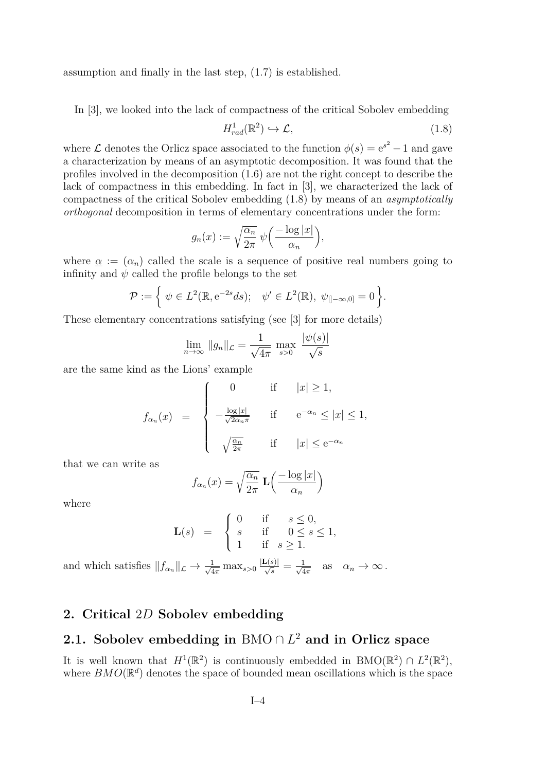assumption and finally in the last step, [\(1.7\)](#page-3-0) is established.

In [\[3\]](#page-11-0), we looked into the lack of compactness of the critical Sobolev embedding

$$
H_{rad}^1(\mathbb{R}^2) \hookrightarrow \mathcal{L},\tag{1.8}
$$

where  $\mathcal L$  denotes the Orlicz space associated to the function  $\phi(s) = e^{s^2} - 1$  and gave a characterization by means of an asymptotic decomposition. It was found that the profiles involved in the decomposition [\(1.6\)](#page-3-0) are not the right concept to describe the lack of compactness in this embedding. In fact in [\[3\]](#page-11-0), we characterized the lack of compactness of the critical Sobolev embedding (1.8) by means of an *asymptotically orthogonal* decomposition in terms of elementary concentrations under the form:

$$
g_n(x) := \sqrt{\frac{\alpha_n}{2\pi}} \ \psi\left(\frac{-\log|x|}{\alpha_n}\right),\,
$$

where  $\alpha := (\alpha_n)$  called the scale is a sequence of positive real numbers going to infinity and  $\psi$  called the profile belongs to the set

$$
\mathcal{P} := \left\{ \psi \in L^{2}(\mathbb{R}, \mathrm{e}^{-2s}ds); \quad \psi' \in L^{2}(\mathbb{R}), \ \psi_{\vert -\infty, 0\vert} = 0 \right\}.
$$

These elementary concentrations satisfying (see [\[3\]](#page-11-0) for more details)

$$
\lim_{n \to \infty} \|g_n\|_{\mathcal{L}} = \frac{1}{\sqrt{4\pi}} \max_{s > 0} \frac{|\psi(s)|}{\sqrt{s}}
$$

are the same kind as the Lions' example

$$
f_{\alpha_n}(x) = \begin{cases} 0 & \text{if } |x| \ge 1, \\ -\frac{\log|x|}{\sqrt{2\alpha_n \pi}} & \text{if } e^{-\alpha_n} \le |x| \le 1, \\ \sqrt{\frac{\alpha_n}{2\pi}} & \text{if } |x| \le e^{-\alpha_n} \end{cases}
$$

that we can write as

$$
f_{\alpha_n}(x) = \sqrt{\frac{\alpha_n}{2\pi}} \mathbf{L} \left( \frac{-\log|x|}{\alpha_n} \right)
$$

where

$$
\mathbf{L}(s) = \begin{cases} 0 & \text{if } s \leq 0, \\ s & \text{if } 0 \leq s \leq 1, \\ 1 & \text{if } s \geq 1. \end{cases}
$$

and which satisfies  $||f_{\alpha_n}||_{\mathcal{L}} \to \frac{1}{\sqrt{4}}$  $\frac{1}{4\pi}\max_{s>0}\frac{|\mathbf{L}(s)|}{\sqrt{s}}=\frac{1}{\sqrt{4}}$  $\frac{1}{4\pi}$  as  $\alpha_n \to \infty$ .

## **2. Critical** 2*D* **Sobolev embedding**

# **2.1. Sobolev embedding in** BMO ∩ *L* <sup>2</sup> **and in Orlicz space**

It is well known that  $H^1(\mathbb{R}^2)$  is continuously embedded in BMO( $\mathbb{R}^2$ )  $\cap L^2(\mathbb{R}^2)$ , where  $BMO(\mathbb{R}^d)$  denotes the space of bounded mean oscillations which is the space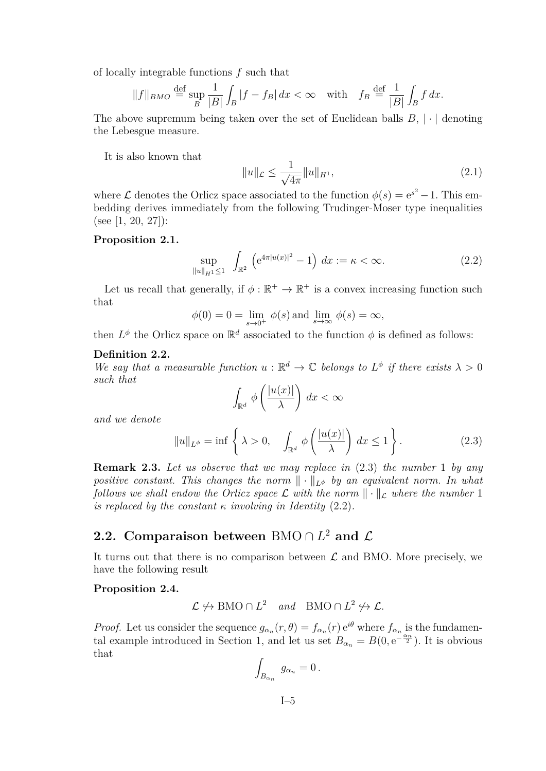of locally integrable functions *f* such that

$$
||f||_{BMO} \stackrel{\text{def}}{=} \sup_B \frac{1}{|B|} \int_B |f - f_B| \, dx < \infty \quad \text{with} \quad f_B \stackrel{\text{def}}{=} \frac{1}{|B|} \int_B f \, dx.
$$

The above supremum being taken over the set of Euclidean balls  $B$ ,  $\cdot$  | denoting the Lebesgue measure.

It is also known that

$$
||u||_{\mathcal{L}} \le \frac{1}{\sqrt{4\pi}} ||u||_{H^1},
$$
\n(2.1)

where  $\mathcal L$  denotes the Orlicz space associated to the function  $\phi(s) = e^{s^2} - 1$ . This embedding derives immediately from the following Trudinger-Moser type inequalities (see [\[1,](#page-11-0) [20,](#page-12-0) [27\]](#page-13-0)):

#### **Proposition 2.1.**

$$
\sup_{\|u\|_{H^{1}} \le 1} \int_{\mathbb{R}^{2}} \left( e^{4\pi |u(x)|^{2}} - 1 \right) dx := \kappa < \infty.
$$
 (2.2)

Let us recall that generally, if  $\phi : \mathbb{R}^+ \to \mathbb{R}^+$  is a convex increasing function such that

$$
\phi(0) = 0 = \lim_{s \to 0^+} \phi(s) \text{ and } \lim_{s \to \infty} \phi(s) = \infty,
$$

then  $L^{\phi}$  the Orlicz space on  $\mathbb{R}^d$  associated to the function  $\phi$  is defined as follows:

#### **Definition 2.2.**

*We say that a measurable function*  $u : \mathbb{R}^d \to \mathbb{C}$  *belongs to*  $L^{\phi}$  *if there exists*  $\lambda > 0$ *such that*

$$
\int_{\mathbb{R}^d} \phi\left(\frac{|u(x)|}{\lambda}\right) dx < \infty
$$

*and we denote*

$$
||u||_{L^{\phi}} = \inf \left\{ \lambda > 0, \quad \int_{\mathbb{R}^d} \phi \left( \frac{|u(x)|}{\lambda} \right) dx \le 1 \right\}.
$$
 (2.3)

**Remark 2.3.** *Let us observe that we may replace in* (2.3) *the number* 1 *by any positive constant. This changes the norm*  $\|\cdot\|_{L^{\phi}}$  *by an equivalent norm. In what follows we shall endow the Orlicz space*  $\mathcal L$  *with the norm*  $\|\cdot\|_{\mathcal L}$  *where the number* 1 *is replaced by the constant*  $\kappa$  *involving in Identity* (2.2).

# **2.2.** Comparaison between BMO  $\cap$   $L^2$  and  $\mathcal{L}$

It turns out that there is no comparison between  $\mathcal L$  and BMO. More precisely, we have the following result

#### **Proposition 2.4.**

$$
\mathcal{L} \not\hookrightarrow \text{BMO} \cap L^2
$$
 and  $\text{BMO} \cap L^2 \not\hookrightarrow \mathcal{L}$ .

*Proof.* Let us consider the sequence  $g_{\alpha_n}(r,\theta) = f_{\alpha_n}(r) e^{i\theta}$  where  $f_{\alpha_n}$  is the fundamen-tal example introduced in Section [1,](#page-1-0) and let us set  $B_{\alpha_n} = B(0, e^{-\frac{\alpha_n}{2}})$ . It is obvious that

$$
\int_{B_{\alpha_n}} g_{\alpha_n} = 0.
$$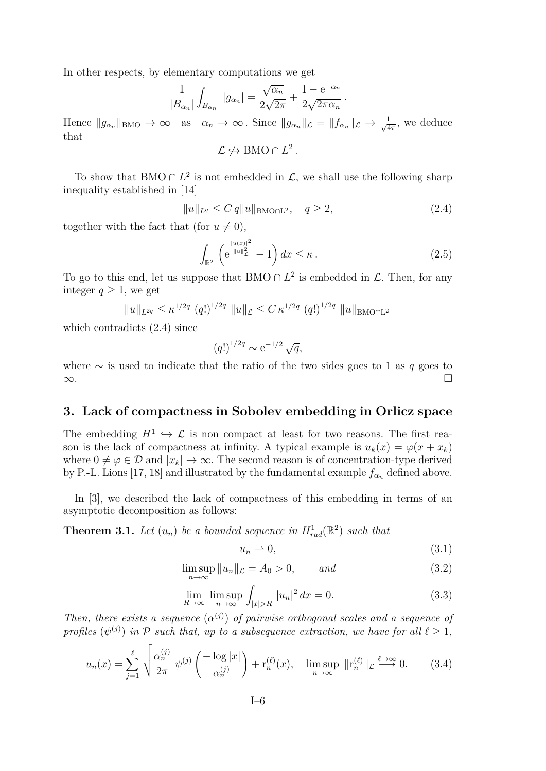<span id="page-6-0"></span>In other respects, by elementary computations we get

$$
\frac{1}{|B_{\alpha_n}|}\int_{B_{\alpha_n}} |g_{\alpha_n}| = \frac{\sqrt{\alpha_n}}{2\sqrt{2\pi}} + \frac{1 - e^{-\alpha_n}}{2\sqrt{2\pi \alpha_n}}.
$$

Hence  $||g_{\alpha_n}||_{\text{BMO}} \to \infty$  as  $\alpha_n \to \infty$ . Since  $||g_{\alpha_n}||_{\mathcal{L}} = ||f_{\alpha_n}||_{\mathcal{L}} \to \frac{1}{\sqrt{\Delta}}$  $\frac{1}{4\pi}$ , we deduce that

$$
\mathcal{L} \nleftrightarrow \mathrm{BMO} \cap L^2.
$$

To show that BMO ∩  $L^2$  is not embedded in  $\mathcal{L}$ , we shall use the following sharp inequality established in [\[14\]](#page-12-0)

$$
||u||_{L^{q}} \leq C q ||u||_{\text{BMO} \cap L^{2}}, \quad q \geq 2,
$$
\n(2.4)

together with the fact that (for  $u \neq 0$ ),

$$
\int_{\mathbb{R}^2} \left( e^{\frac{|u(x)|^2}{\|u\|_{\mathcal{L}}^2}} - 1 \right) dx \le \kappa. \tag{2.5}
$$

To go to this end, let us suppose that BMO  $\cap$  *L*<sup>2</sup> is embedded in *L*. Then, for any integer  $q \geq 1$ , we get

$$
||u||_{L^{2q}} \le \kappa^{1/2q} (q!)^{1/2q} ||u||_{\mathcal{L}} \le C \kappa^{1/2q} (q!)^{1/2q} ||u||_{\text{BMO}\cap\mathbb{L}^2}
$$

which contradicts (2.4) since

$$
(q!)^{1/2q} \sim e^{-1/2} \sqrt{q},
$$

where ∼ is used to indicate that the ratio of the two sides goes to 1 as *q* goes to ∞.

## **3. Lack of compactness in Sobolev embedding in Orlicz space**

The embedding  $H^1 \hookrightarrow \mathcal{L}$  is non compact at least for two reasons. The first reason is the lack of compactness at infinity. A typical example is  $u_k(x) = \varphi(x + x_k)$ where  $0 \neq \varphi \in \mathcal{D}$  and  $|x_k| \to \infty$ . The second reason is of concentration-type derived by P.-L. Lions [\[17,](#page-12-0) [18\]](#page-12-0) and illustrated by the fundamental example  $f_{\alpha_n}$  defined above.

In [\[3\]](#page-11-0), we described the lack of compactness of this embedding in terms of an asymptotic decomposition as follows:

**Theorem 3.1.** Let  $(u_n)$  be a bounded sequence in  $H_{rad}^1(\mathbb{R}^2)$  such that

$$
u_n \rightharpoonup 0,\tag{3.1}
$$

$$
\limsup_{n \to \infty} ||u_n||_{\mathcal{L}} = A_0 > 0, \qquad and \qquad (3.2)
$$

$$
\lim_{R \to \infty} \limsup_{n \to \infty} \int_{|x| > R} |u_n|^2 dx = 0.
$$
\n(3.3)

*Then, there exists a sequence*  $(\underline{\alpha}^{(j)})$  *of pairwise orthogonal scales and a sequence of profiles*  $(\psi^{(j)})$  *in*  $\mathcal P$  *such that, up to a subsequence extraction, we have for all*  $\ell \geq 1$ *,* 

$$
u_n(x) = \sum_{j=1}^{\ell} \sqrt{\frac{\alpha_n^{(j)}}{2\pi}} \psi^{(j)} \left( \frac{-\log|x|}{\alpha_n^{(j)}} \right) + \mathbf{r}_n^{(\ell)}(x), \quad \limsup_{n \to \infty} \| \mathbf{r}_n^{(\ell)} \|_{\mathcal{L}} \stackrel{\ell \to \infty}{\longrightarrow} 0. \tag{3.4}
$$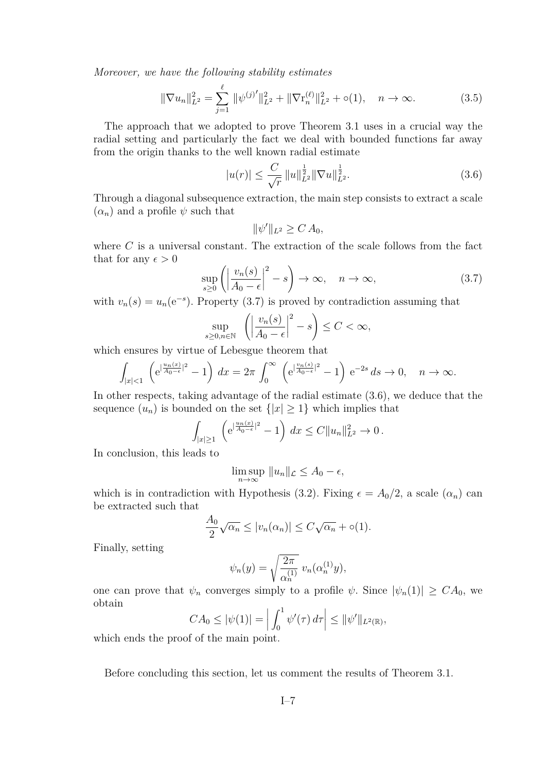*Moreover, we have the following stability estimates*

$$
\|\nabla u_n\|_{L^2}^2 = \sum_{j=1}^{\ell} \|\psi^{(j)'}\|_{L^2}^2 + \|\nabla \mathbf{r}_n^{(\ell)}\|_{L^2}^2 + o(1), \quad n \to \infty.
$$
 (3.5)

The approach that we adopted to prove Theorem [3.1](#page-6-0) uses in a crucial way the radial setting and particularly the fact we deal with bounded functions far away from the origin thanks to the well known radial estimate

$$
|u(r)| \le \frac{C}{\sqrt{r}} \, \|u\|_{L^2}^{\frac{1}{2}} \|\nabla u\|_{L^2}^{\frac{1}{2}}.
$$
\n(3.6)

Through a diagonal subsequence extraction, the main step consists to extract a scale  $(\alpha_n)$  and a profile  $\psi$  such that

$$
\|\psi'\|_{L^2}\geq C A_0,
$$

where  $C$  is a universal constant. The extraction of the scale follows from the fact that for any  $\epsilon > 0$ 

$$
\sup_{s\geq 0} \left( \left| \frac{v_n(s)}{A_0 - \epsilon} \right|^2 - s \right) \to \infty, \quad n \to \infty,
$$
\n(3.7)

with  $v_n(s) = u_n(e^{-s})$ . Property (3.7) is proved by contradiction assuming that

$$
\sup_{s\geq 0,n\in\mathbb{N}}\quad \left(\left|\frac{v_n(s)}{A_0-\epsilon}\right|^2-s\right)\leq C<\infty,
$$

which ensures by virtue of Lebesgue theorem that

$$
\int_{|x|<1} \left( e^{|\frac{u_n(x)}{A_0-\epsilon}|^2}-1\right) dx = 2\pi \int_0^\infty \left( e^{|\frac{v_n(s)}{A_0-\epsilon}|^2}-1\right) e^{-2s} ds \to 0, \quad n \to \infty.
$$

In other respects, taking advantage of the radial estimate (3.6), we deduce that the sequence  $(u_n)$  is bounded on the set  ${|x| > 1}$  which implies that

$$
\int_{|x|\geq 1} \left( e^{|\frac{u_n(x)}{A_0-\epsilon}|^2} - 1 \right) dx \leq C \|u_n\|_{L^2}^2 \to 0.
$$

In conclusion, this leads to

$$
\limsup_{n \to \infty} ||u_n||_{\mathcal{L}} \le A_0 - \epsilon,
$$

which is in contradiction with Hypothesis [\(3.2\)](#page-6-0). Fixing  $\epsilon = A_0/2$ , a scale  $(\alpha_n)$  can be extracted such that

$$
\frac{A_0}{2}\sqrt{\alpha_n} \le |v_n(\alpha_n)| \le C\sqrt{\alpha_n} + o(1).
$$

Finally, setting

$$
\psi_n(y) = \sqrt{\frac{2\pi}{\alpha_n^{(1)}}} \ v_n(\alpha_n^{(1)}y),
$$

one can prove that  $\psi_n$  converges simply to a profile  $\psi$ . Since  $|\psi_n(1)| \geq CA_0$ , we obtain

$$
CA_0 \leq |\psi(1)| = \left| \int_0^1 \psi'(\tau) d\tau \right| \leq ||\psi'||_{L^2(\mathbb{R})},
$$

which ends the proof of the main point.

Before concluding this section, let us comment the results of Theorem [3.1.](#page-6-0)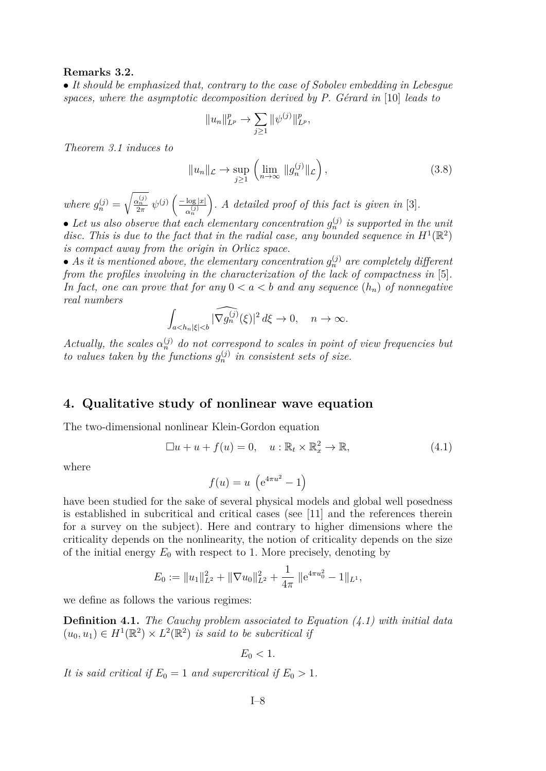#### <span id="page-8-0"></span>**Remarks 3.2.**

• *It should be emphasized that, contrary to the case of Sobolev embedding in Lebesgue spaces, where the asymptotic decomposition derived by P. Gérard in* [\[10\]](#page-12-0) *leads to*

$$
||u_n||_{L^p}^p \to \sum_{j\geq 1} ||\psi^{(j)}||_{L^p}^p,
$$

*Theorem [3.1](#page-6-0) induces to*

$$
||u_n||_{\mathcal{L}} \to \sup_{j \ge 1} \left( \lim_{n \to \infty} ||g_n^{(j)}||_{\mathcal{L}} \right), \tag{3.8}
$$

*where*  $g_n^{(j)} =$  $\sqrt{\frac{\alpha_n^{(j)}}{2\pi}} \psi^{(j)}\left(\frac{-\log|x|}{\alpha_n^{(j)}}\right)$  $\alpha_n^{(j)}$ *. A detailed proof of this fact is given in* [\[3\]](#page-11-0)*.*

• Let us also observe that each elementary concentration  $g_n^{(j)}$  is supported in the unit disc. This is due to the fact that in the radial case, any bounded sequence in  $H^1(\mathbb{R}^2)$ *is compact away from the origin in Orlicz space.*

• As it is mentioned above, the elementary concentration  $g_n^{(j)}$  are completely different *from the profiles involving in the characterization of the lack of compactness in* [\[5\]](#page-11-0)*.* In fact, one can prove that for any  $0 < a < b$  and any sequence  $(h_n)$  of nonnegative *real numbers*

$$
\int_{a
$$

*Actually, the scales*  $\alpha_n^{(j)}$  *do not correspond to scales in point of view frequencies but to values taken by the functions*  $g_n^{(j)}$  *in consistent sets of size.* 

#### **4. Qualitative study of nonlinear wave equation**

The two-dimensional nonlinear Klein-Gordon equation

$$
\Box u + u + f(u) = 0, \quad u: \mathbb{R}_t \times \mathbb{R}_x^2 \to \mathbb{R}, \tag{4.1}
$$

where

$$
f(u) = u \left( e^{4\pi u^2} - 1 \right)
$$

have been studied for the sake of several physical models and global well posedness is established in subcritical and critical cases (see [\[11\]](#page-12-0) and the references therein for a survey on the subject). Here and contrary to higher dimensions where the criticality depends on the nonlinearity, the notion of criticality depends on the size of the initial energy  $E_0$  with respect to 1. More precisely, denoting by

$$
E_0 := \|u_1\|_{L^2}^2 + \|\nabla u_0\|_{L^2}^2 + \frac{1}{4\pi} \|e^{4\pi u_0^2} - 1\|_{L^1},
$$

we define as follows the various regimes:

**Definition 4.1.** *The Cauchy problem associated to Equation (4.1) with initial data*  $(u_0, u_1) \in H^1(\mathbb{R}^2) \times L^2(\mathbb{R}^2)$  *is said to be subcritical if* 

$$
E_0<1.
$$

It is said critical if  $E_0 = 1$  and supercritical if  $E_0 > 1$ .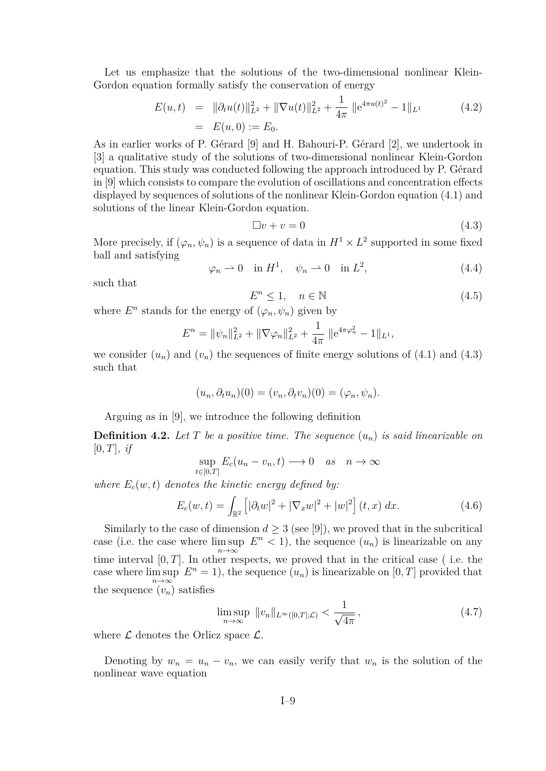<span id="page-9-0"></span>Let us emphasize that the solutions of the two-dimensional nonlinear Klein-Gordon equation formally satisfy the conservation of energy

$$
E(u,t) = ||\partial_t u(t)||_{L^2}^2 + ||\nabla u(t)||_{L^2}^2 + \frac{1}{4\pi} ||e^{4\pi u(t)^2} - 1||_{L^1}
$$
(4.2)  
=  $E(u,0) := E_0.$ 

As in earlier works of P. Gérard [\[9\]](#page-12-0) and H. Bahouri-P. Gérard [\[2\]](#page-11-0), we undertook in [\[3\]](#page-11-0) a qualitative study of the solutions of two-dimensional nonlinear Klein-Gordon equation. This study was conducted following the approach introduced by P. Gérard in [\[9\]](#page-12-0) which consists to compare the evolution of oscillations and concentration effects displayed by sequences of solutions of the nonlinear Klein-Gordon equation [\(4.1\)](#page-8-0) and solutions of the linear Klein-Gordon equation.

$$
\Box v + v = 0 \tag{4.3}
$$

More precisely, if  $(\varphi_n, \psi_n)$  is a sequence of data in  $H^1 \times L^2$  supported in some fixed ball and satisfying

$$
\varphi_n \rightharpoonup 0 \quad \text{in } H^1, \quad \psi_n \rightharpoonup 0 \quad \text{in } L^2,\tag{4.4}
$$

such that

$$
E^n \le 1, \quad n \in \mathbb{N} \tag{4.5}
$$

where  $E^n$  stands for the energy of  $(\varphi_n, \psi_n)$  given by

$$
E^{n} = \|\psi_{n}\|_{L^{2}}^{2} + \|\nabla \varphi_{n}\|_{L^{2}}^{2} + \frac{1}{4\pi} \|e^{4\pi \varphi_{n}^{2}} - 1\|_{L^{1}},
$$

we consider  $(u_n)$  and  $(v_n)$  the sequences of finite energy solutions of  $(4.1)$  and  $(4.3)$ such that

$$
(u_n, \partial_t u_n)(0) = (v_n, \partial_t v_n)(0) = (\varphi_n, \psi_n).
$$

Arguing as in [\[9\]](#page-12-0), we introduce the following definition

**Definition 4.2.** Let  $T$  be a positive time. The sequence  $(u_n)$  is said linearizable on  $[0, T]$ *, if* 

$$
\sup_{t \in [0,T]} E_c(u_n - v_n, t) \longrightarrow 0 \quad as \quad n \to \infty
$$

*where*  $E_c(w, t)$  *denotes the kinetic energy defined by:* 

$$
E_c(w,t) = \int_{\mathbb{R}^2} \left[ |\partial_t w|^2 + |\nabla_x w|^2 + |w|^2 \right] (t, x) \, dx. \tag{4.6}
$$

Similarly to the case of dimension  $d \geq 3$  (see [\[9\]](#page-12-0)), we proved that in the subcritical case (i.e. the case where  $\limsup E^{n} < 1$ ), the sequence  $(u_n)$  is linearizable on any *n*→∞ time interval  $[0, T]$ . In other respects, we proved that in the critical case (i.e. the case where  $\limsup E^n = 1$ , the sequence  $(u_n)$  is linearizable on  $[0, T]$  provided that the sequence  $\overline{(v_n)}$  satisfies

$$
\limsup_{n \to \infty} ||v_n||_{L^{\infty}([0,T];\mathcal{L})} < \frac{1}{\sqrt{4\pi}} , \qquad (4.7)
$$

where  $\mathcal L$  denotes the Orlicz space  $\mathcal L$ .

Denoting by  $w_n = u_n - v_n$ , we can easily verify that  $w_n$  is the solution of the nonlinear wave equation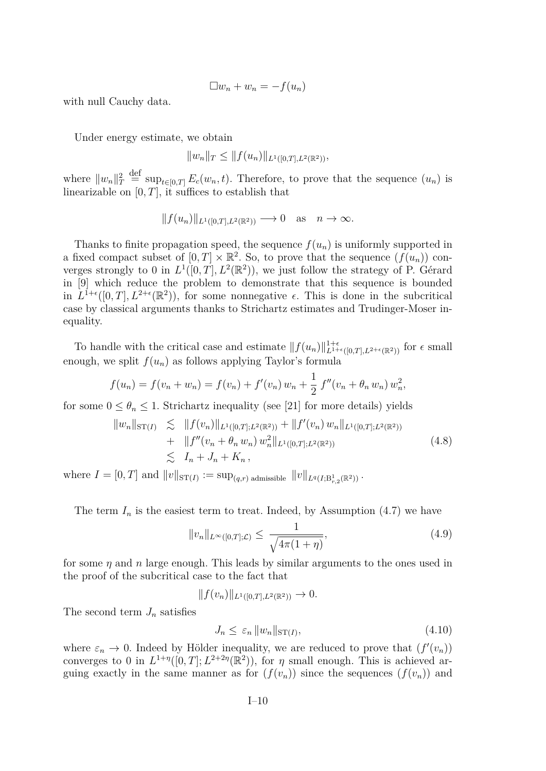$$
\Box w_n + w_n = -f(u_n)
$$

with null Cauchy data.

Under energy estimate, we obtain

$$
||w_n||_T \leq ||f(u_n)||_{L^1([0,T],L^2(\mathbb{R}^2))},
$$

where  $||w_n||_T^2$  $\stackrel{\text{def}}{=} \sup_{t \in [0,T]} E_c(w_n, t)$ . Therefore, to prove that the sequence  $(u_n)$  is linearizable on  $[0, T]$ , it suffices to establish that

$$
||f(u_n)||_{L^1([0,T],L^2(\mathbb{R}^2))} \longrightarrow 0 \text{ as } n \to \infty.
$$

Thanks to finite propagation speed, the sequence  $f(u_n)$  is uniformly supported in a fixed compact subset of  $[0, T] \times \mathbb{R}^2$ . So, to prove that the sequence  $(f(u_n))$  converges strongly to 0 in  $L^1([0,T], L^2(\mathbb{R}^2))$ , we just follow the strategy of P. Gérard in [\[9\]](#page-12-0) which reduce the problem to demonstrate that this sequence is bounded in  $L^{1+\epsilon}([0,T], L^{2+\epsilon}(\mathbb{R}^2))$ , for some nonnegative  $\epsilon$ . This is done in the subcritical case by classical arguments thanks to Strichartz estimates and Trudinger-Moser inequality.

To handle with the critical case and estimate  $|| f(u_n) ||_{L^{1+\epsilon}([0,T],L^{2+\epsilon}(\mathbb{R}^2))}^{1+\epsilon}$  for  $\epsilon$  small enough, we split  $f(u_n)$  as follows applying Taylor's formula

$$
f(u_n) = f(v_n + w_n) = f(v_n) + f'(v_n) w_n + \frac{1}{2} f''(v_n + \theta_n w_n) w_n^2,
$$

for some  $0 \leq \theta_n \leq 1$ . Strichartz inequality (see [\[21\]](#page-12-0) for more details) yields

$$
||w_n||_{\mathrm{ST}(I)} \leq ||f(v_n)||_{L^1([0,T];L^2(\mathbb{R}^2))} + ||f'(v_n) w_n||_{L^1([0,T];L^2(\mathbb{R}^2))}
$$
  
+ 
$$
||f''(v_n + \theta_n w_n) w_n^2||_{L^1([0,T];L^2(\mathbb{R}^2))}
$$
  

$$
\leq I_n + J_n + K_n,
$$
 (4.8)

where  $I = [0, T]$  and  $||v||_{\text{ST}(I)} := \sup_{(q,r)} \text{admissible} ||v||_{L^q(I; \text{B}_{r,2}^1(\mathbb{R}^2))}$ .

The term  $I_n$  is the easiest term to treat. Indeed, by Assumption  $(4.7)$  we have

$$
||v_n||_{L^{\infty}([0,T];\mathcal{L})} \leq \frac{1}{\sqrt{4\pi(1+\eta)}},\tag{4.9}
$$

for some *η* and *n* large enough. This leads by similar arguments to the ones used in the proof of the subcritical case to the fact that

 $|| f(v_n) ||_{L^1([0,T],L^2(\mathbb{R}^2))} \to 0.$ 

The second term  $J_n$  satisfies

$$
J_n \le \varepsilon_n \|w_n\|_{\text{ST}(I)},\tag{4.10}
$$

where  $\varepsilon_n \to 0$ . Indeed by Hölder inequality, we are reduced to prove that  $(f'(v_n))$ converges to 0 in  $L^{1+\eta}([0,T]; L^{2+2\eta}(\mathbb{R}^2))$ , for  $\eta$  small enough. This is achieved arguing exactly in the same manner as for  $(f(v_n))$  since the sequences  $(f(v_n))$  and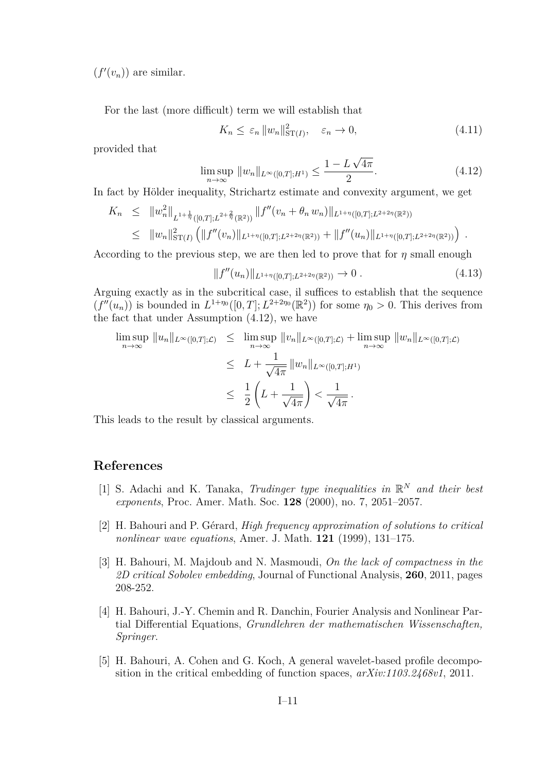<span id="page-11-0"></span> $(f'(v_n))$  are similar.

For the last (more difficult) term we will establish that

$$
K_n \le \varepsilon_n \|w_n\|_{\mathrm{ST}(I)}^2, \quad \varepsilon_n \to 0,\tag{4.11}
$$

provided that

$$
\limsup_{n \to \infty} \|w_n\|_{L^{\infty}([0,T];H^1)} \le \frac{1 - L\sqrt{4\pi}}{2}.
$$
\n(4.12)

In fact by Hölder inequality, Strichartz estimate and convexity argument, we get

$$
K_n \leq \|w_n^2\|_{L^{1+\frac{1}{\eta}}([0,T];L^{2+\frac{2}{\eta}}(\mathbb{R}^2))} \|f''(v_n + \theta_n w_n)\|_{L^{1+\eta}([0,T];L^{2+2\eta}(\mathbb{R}^2))}
$$
  

$$
\leq \|w_n\|_{\mathrm{ST}(I)}^2 \left( \|f''(v_n)\|_{L^{1+\eta}([0,T];L^{2+2\eta}(\mathbb{R}^2))} + \|f''(u_n)\|_{L^{1+\eta}([0,T];L^{2+2\eta}(\mathbb{R}^2))} \right).
$$

According to the previous step, we are then led to prove that for *η* small enough

$$
||f''(u_n)||_{L^{1+\eta}([0,T];L^{2+2\eta}(\mathbb{R}^2))} \to 0.
$$
\n(4.13)

Arguing exactly as in the subcritical case, il suffices to establish that the sequence  $(f''(u_n))$  is bounded in  $L^{1+\eta_0}([0,T]; L^{2+2\eta_0}(\mathbb{R}^2))$  for some  $\eta_0 > 0$ . This derives from the fact that under Assumption (4.12), we have

$$
\limsup_{n \to \infty} ||u_n||_{L^{\infty}([0,T];\mathcal{L})} \leq \limsup_{n \to \infty} ||v_n||_{L^{\infty}([0,T];\mathcal{L})} + \limsup_{n \to \infty} ||w_n||_{L^{\infty}([0,T];\mathcal{L})}
$$
\n
$$
\leq L + \frac{1}{\sqrt{4\pi}} ||w_n||_{L^{\infty}([0,T];H^1)}
$$
\n
$$
\leq \frac{1}{2} \left( L + \frac{1}{\sqrt{4\pi}} \right) < \frac{1}{\sqrt{4\pi}}.
$$

This leads to the result by classical arguments.

# **References**

- [1] S. Adachi and K. Tanaka, *Trudinger type inequalities in*  $\mathbb{R}^N$  *and their best exponents*, Proc. Amer. Math. Soc. **128** (2000), no. 7, 2051–2057.
- [2] H. Bahouri and P. Gérard, *High frequency approximation of solutions to critical nonlinear wave equations*, Amer. J. Math. **121** (1999), 131–175.
- [3] H. Bahouri, M. Majdoub and N. Masmoudi, *On the lack of compactness in the 2D critical Sobolev embedding*, Journal of Functional Analysis, **260**, 2011, pages 208-252.
- [4] H. Bahouri, J.-Y. Chemin and R. Danchin, Fourier Analysis and Nonlinear Partial Differential Equations, *Grundlehren der mathematischen Wissenschaften, Springer*.
- [5] H. Bahouri, A. Cohen and G. Koch, A general wavelet-based profile decomposition in the critical embedding of function spaces, *arXiv:1103.2468v1*, 2011.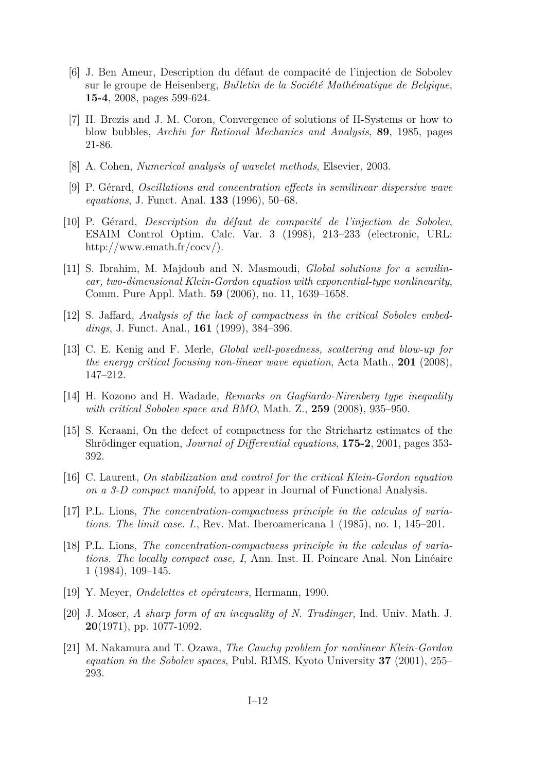- <span id="page-12-0"></span>[6] J. Ben Ameur, Description du défaut de compacité de l'injection de Sobolev sur le groupe de Heisenberg, *Bulletin de la Société Mathématique de Belgique*, **15-4**, 2008, pages 599-624.
- [7] H. Brezis and J. M. Coron, Convergence of solutions of H-Systems or how to blow bubbles, *Archiv for Rational Mechanics and Analysis*, **89**, 1985, pages 21-86.
- [8] A. Cohen, *Numerical analysis of wavelet methods*, Elsevier, 2003.
- [9] P. Gérard, *Oscillations and concentration effects in semilinear dispersive wave equations*, J. Funct. Anal. **133** (1996), 50–68.
- [10] P. Gérard, *Description du défaut de compacité de l'injection de Sobolev*, ESAIM Control Optim. Calc. Var. 3 (1998), 213–233 (electronic, URL: http://www.emath.fr/cocv/).
- [11] S. Ibrahim, M. Majdoub and N. Masmoudi, *Global solutions for a semilinear, two-dimensional Klein-Gordon equation with exponential-type nonlinearity*, Comm. Pure Appl. Math. **59** (2006), no. 11, 1639–1658.
- [12] S. Jaffard, *Analysis of the lack of compactness in the critical Sobolev embeddings*, J. Funct. Anal., **161** (1999), 384–396.
- [13] C. E. Kenig and F. Merle, *Global well-posedness, scattering and blow-up for the energy critical focusing non-linear wave equation*, Acta Math., **201** (2008), 147–212.
- [14] H. Kozono and H. Wadade, *Remarks on Gagliardo-Nirenberg type inequality with critical Sobolev space and BMO*, Math. Z., **259** (2008), 935–950.
- [15] S. Keraani, On the defect of compactness for the Strichartz estimates of the Shrödinger equation, *Journal of Differential equations*, **175-2**, 2001, pages 353- 392.
- [16] C. Laurent, *On stabilization and control for the critical Klein-Gordon equation on a 3-D compact manifold*, to appear in Journal of Functional Analysis.
- [17] P.L. Lions, *The concentration-compactness principle in the calculus of variations. The limit case. I.*, Rev. Mat. Iberoamericana 1 (1985), no. 1, 145–201.
- [18] P.L. Lions, *The concentration-compactness principle in the calculus of variations. The locally compact case, I*, Ann. Inst. H. Poincare Anal. Non Linéaire 1 (1984), 109–145.
- [19] Y. Meyer, *Ondelettes et opérateurs*, Hermann, 1990.
- [20] J. Moser, *A sharp form of an inequality of N. Trudinger*, Ind. Univ. Math. J. **20**(1971), pp. 1077-1092.
- [21] M. Nakamura and T. Ozawa, *The Cauchy problem for nonlinear Klein-Gordon equation in the Sobolev spaces*, Publ. RIMS, Kyoto University **37** (2001), 255– 293.